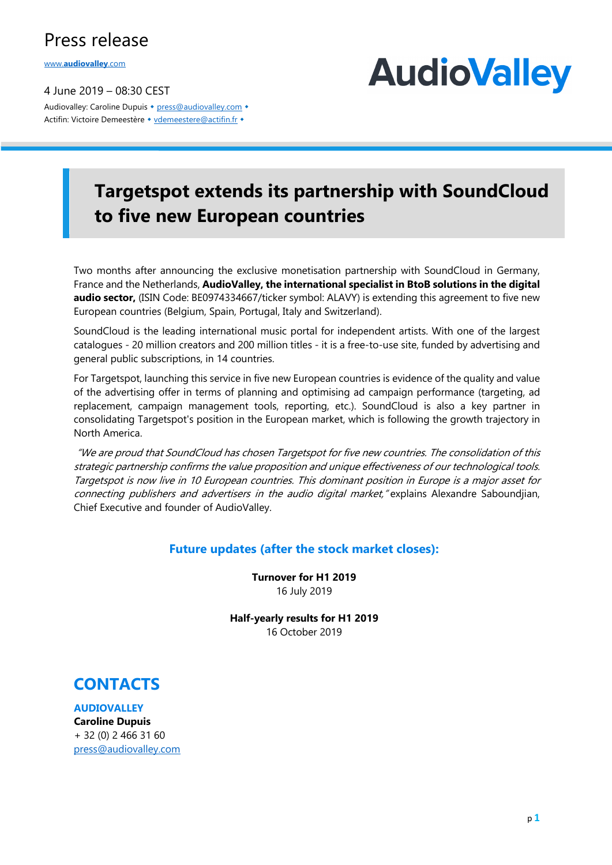### Press release

www.**audiovalley**.com

4 June 2019 – 08:30 CEST Audiovalley: Caroline Dupuis • press@audiovalley.com • Actifin: Victoire Demeestère • vdemeestere@actifin.fr •

## **AudioValley**

## **Targetspot extends its partnership with SoundCloud to five new European countries**

Two months after announcing the exclusive monetisation partnership with SoundCloud in Germany, France and the Netherlands, **AudioValley, the international specialist in BtoB solutions in the digital audio sector,** (ISIN Code: BE0974334667/ticker symbol: ALAVY) is extending this agreement to five new European countries (Belgium, Spain, Portugal, Italy and Switzerland).

SoundCloud is the leading international music portal for independent artists. With one of the largest catalogues - 20 million creators and 200 million titles - it is a free-to-use site, funded by advertising and general public subscriptions, in 14 countries.

For Targetspot, launching this service in five new European countries is evidence of the quality and value of the advertising offer in terms of planning and optimising ad campaign performance (targeting, ad replacement, campaign management tools, reporting, etc.). SoundCloud is also a key partner in consolidating Targetspot's position in the European market, which is following the growth trajectory in North America.

"We are proud that SoundCloud has chosen Targetspot for five new countries. The consolidation of this strategic partnership confirms the value proposition and unique effectiveness of our technological tools. Targetspot is now live in 10 European countries. This dominant position in Europe is a major asset for connecting publishers and advertisers in the audio digital market, "explains Alexandre Saboundjian, Chief Executive and founder of AudioValley.

### **Future updates (after the stock market closes):**

**Turnover for H1 2019** 16 July 2019

**Half-yearly results for H1 2019** 16 October 2019



**AUDIOVALLEY Caroline Dupuis** + 32 (0) 2 466 31 60 press@audiovalley.com